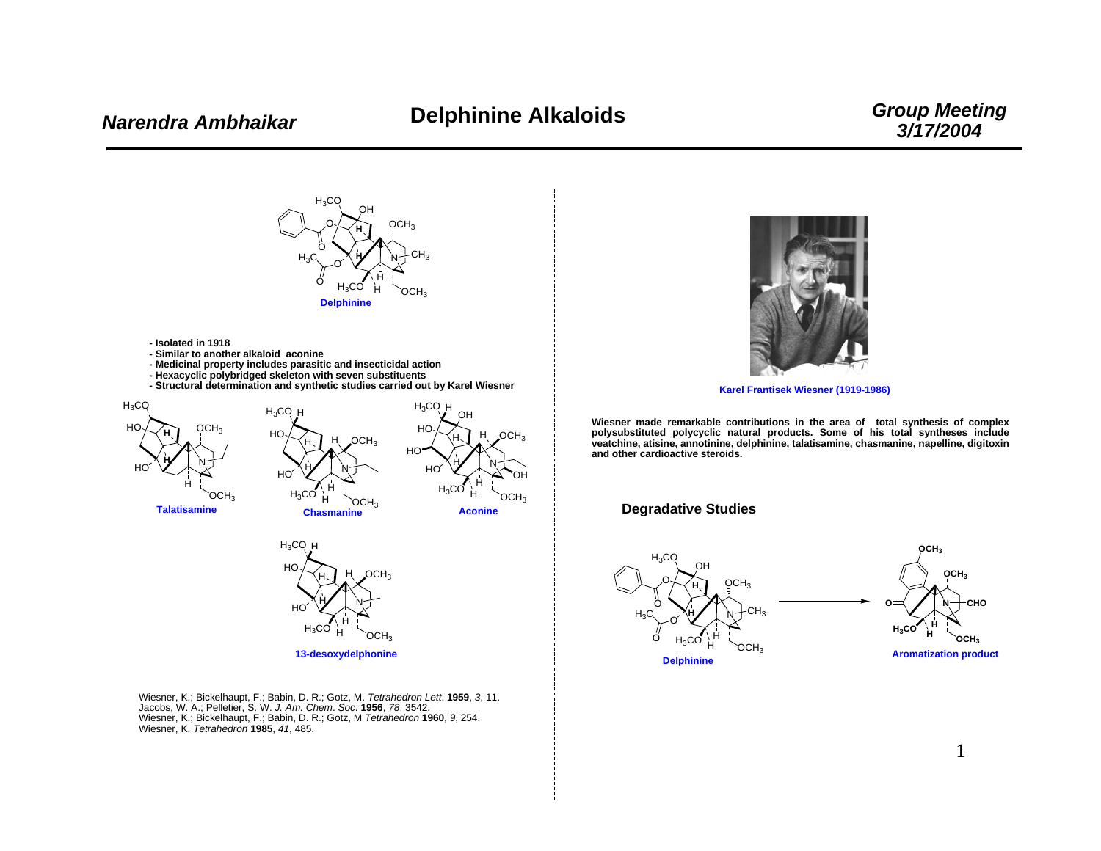## *Group Meeting 3/17/2004*



Wiesner, K.; Bickelhaupt, F.; Babin, D. R.; Gotz, M. *Tetrahedron Lett*. **1959**, *3*, 11. Jacobs, W. A.; Pelletier, S. W. *J. Am. Chem*. *Soc*. **1956**, *78*, 3542. Wiesner, K.; Bickelhaupt, F.; Babin, D. R.; Gotz, M *Tetrahedron* **1960**, *9*, 254. Wiesner, K. *Tetrahedron* **1985**, *41*, 485.



**Karel Frantisek Wiesner (1919-1986)**

**Wiesner made remarkable contributions in the area of total synthesis of complex polysubstituted polycyclic natural products. Some of his total syntheses include veatchine, atisine, annotinine, delphinine, talatisamine, chasmanine, napelline, digitoxin and other cardioactive steroids.**

#### **Degradative Studies**

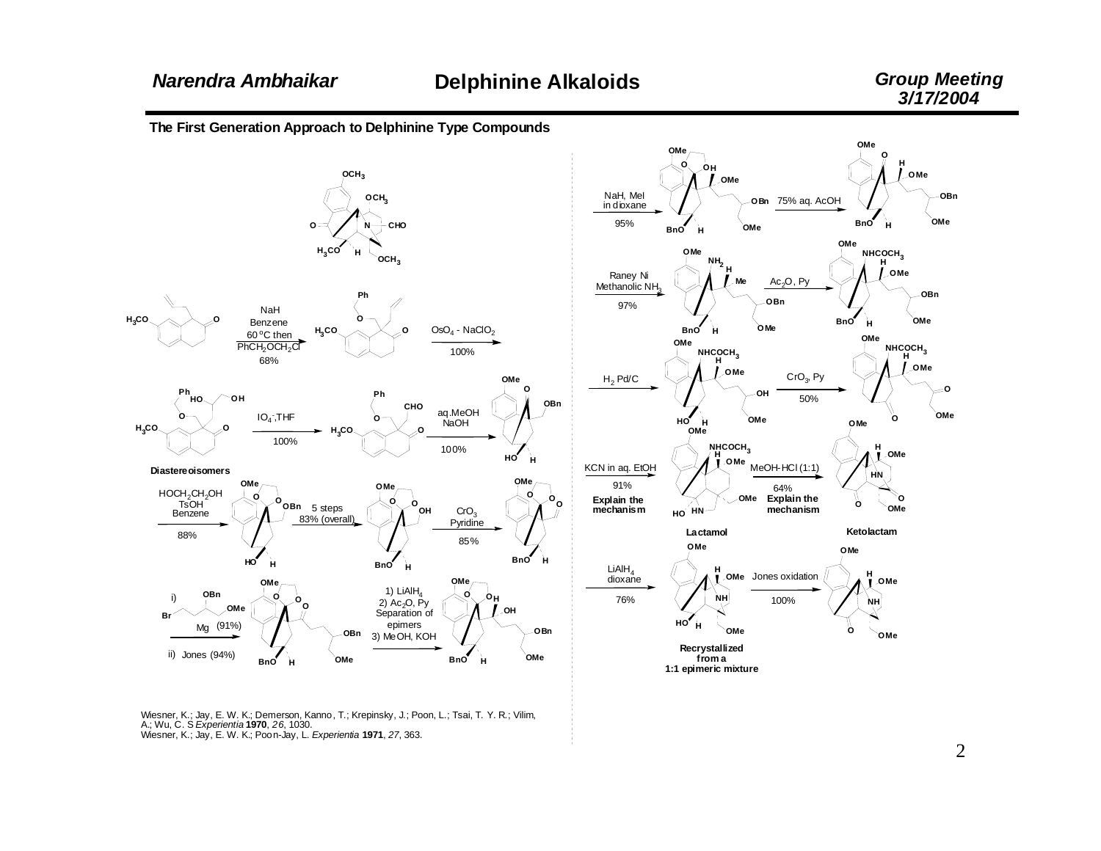The First Generation Approach to Delphinine Type Compounds



Wiesner, K.; Jay, E. W. K.; Demerson, Kanno, T.; Krepinsky, J.; Poon, L.; Tsai, T. Y. R.; Vilim, A.; Wu, C. S Experientia 1970, 26, 1030. Wiesner, K.; Jay, E. W. K.; Poon-Jay, L. Experientia 1971, 27, 363.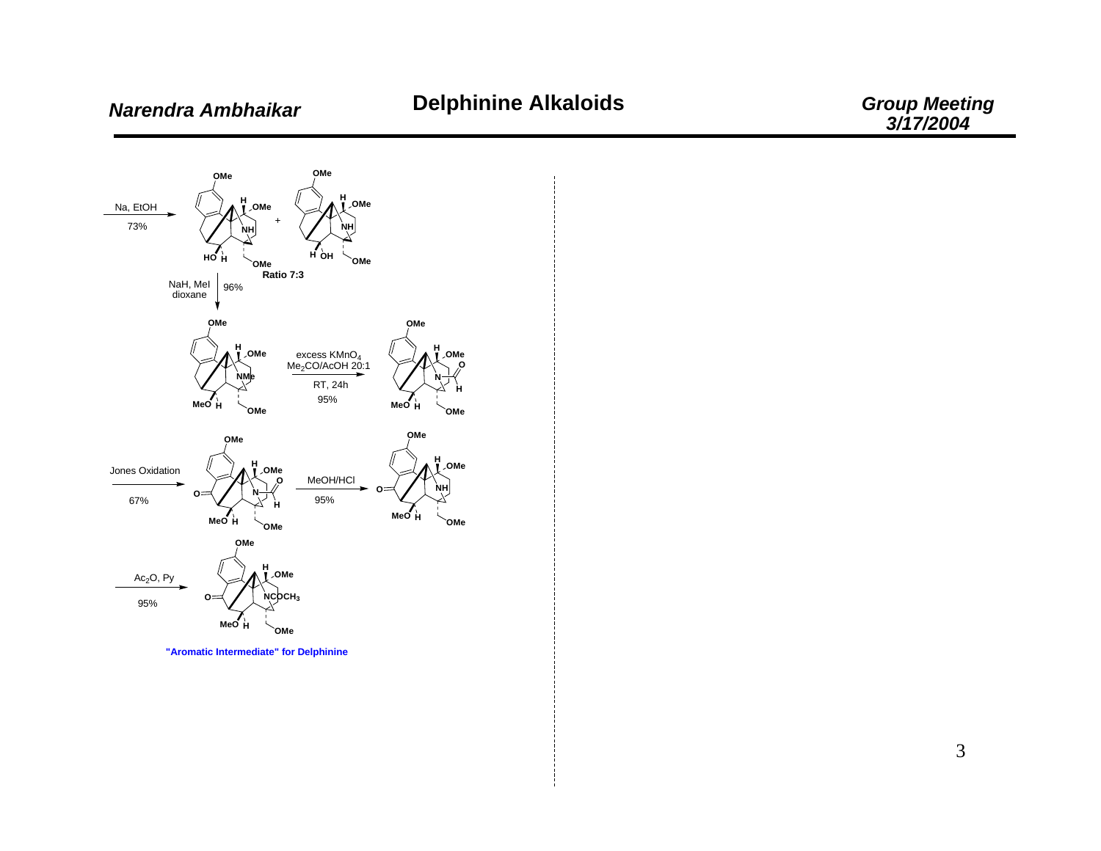

"Aromatic Intermediate" for Delphinine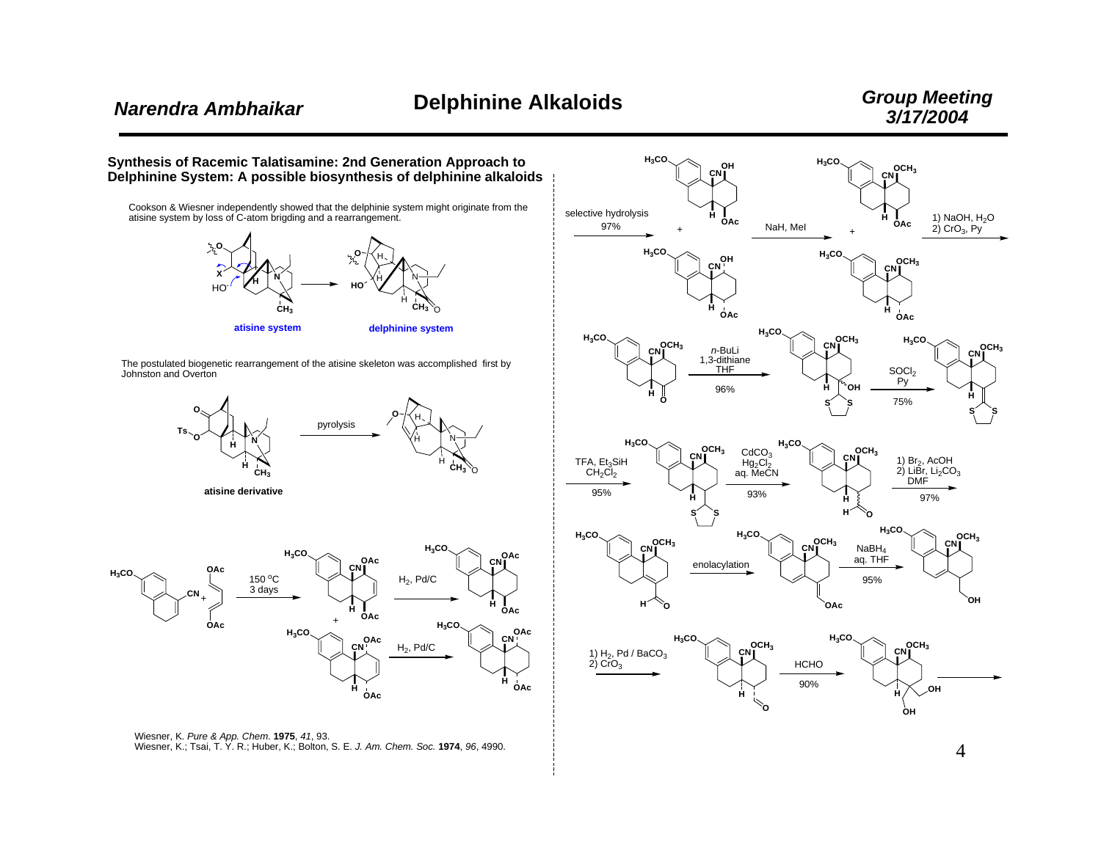4



Wiesner, K. *Pure & App. Chem*. **1975**, *41*, 93. Wiesner, K.; Tsai, T. Y. R.; Huber, K.; Bolton, S. E. *J. Am. Chem. Soc.* **1974**, *96*, 4990.

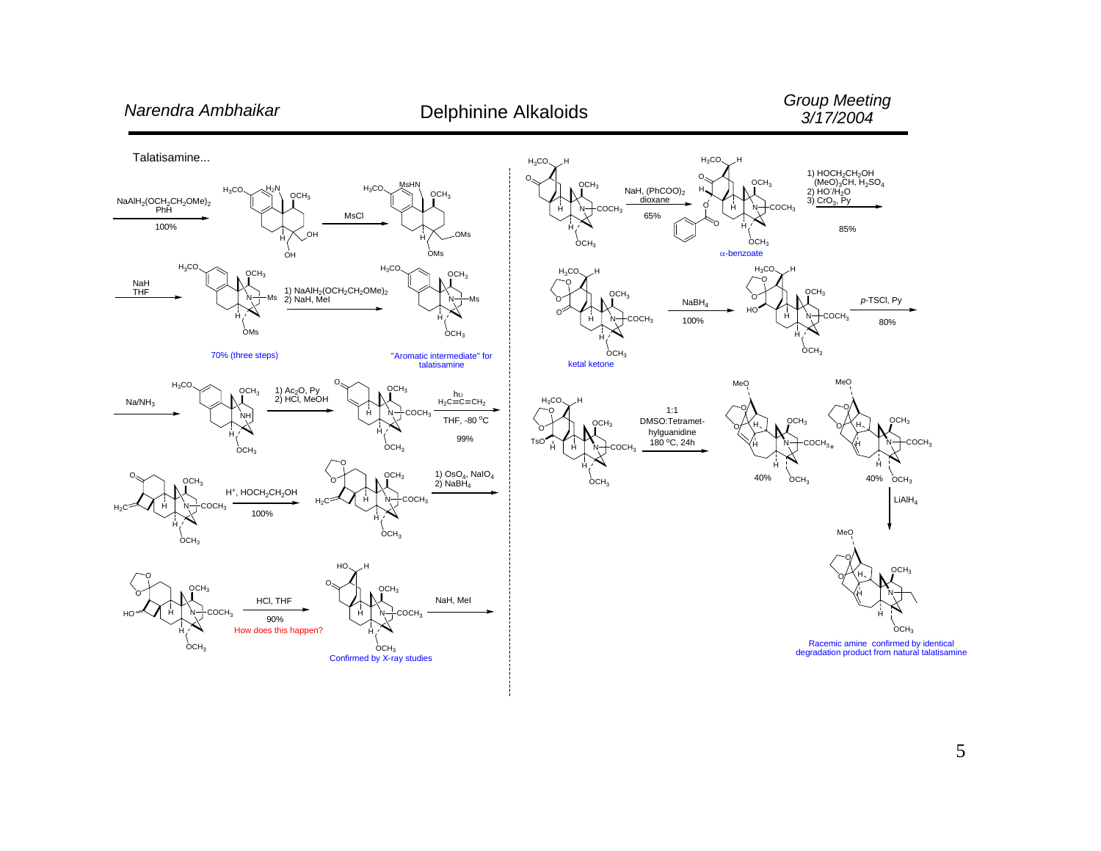### *Group Meeting 3/17/2004*

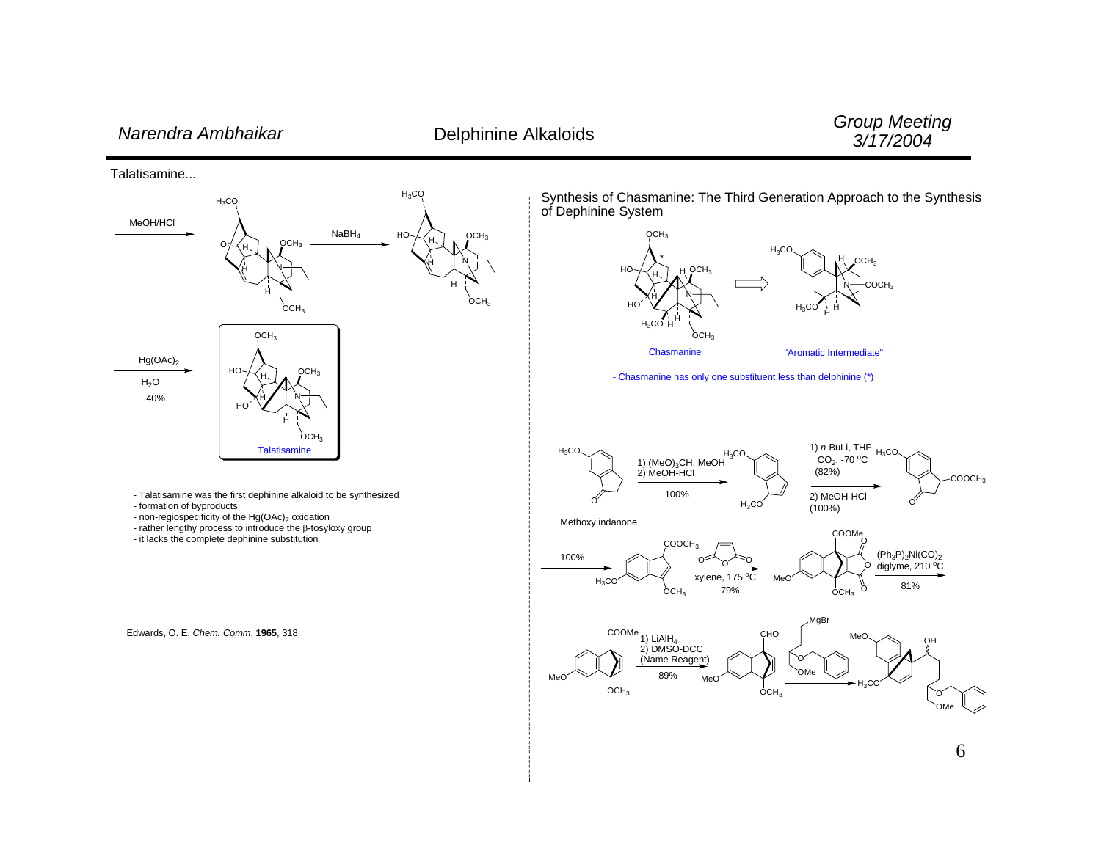# *Narendra Ambhaikar* Delphinine Alkaloids

*Group Meeting 3/17/2004*

Talatisamine...



Edwards, O. E. *Chem. Comm*. **1965**, 318.

Synthesis of Chasmanine: The Third Generation Approach to the Synthesis of Dephinine System





"Aromatic Intermediate"

- Chasmanine has only one substituent less than delphinine (\*)



Methoxy indanone



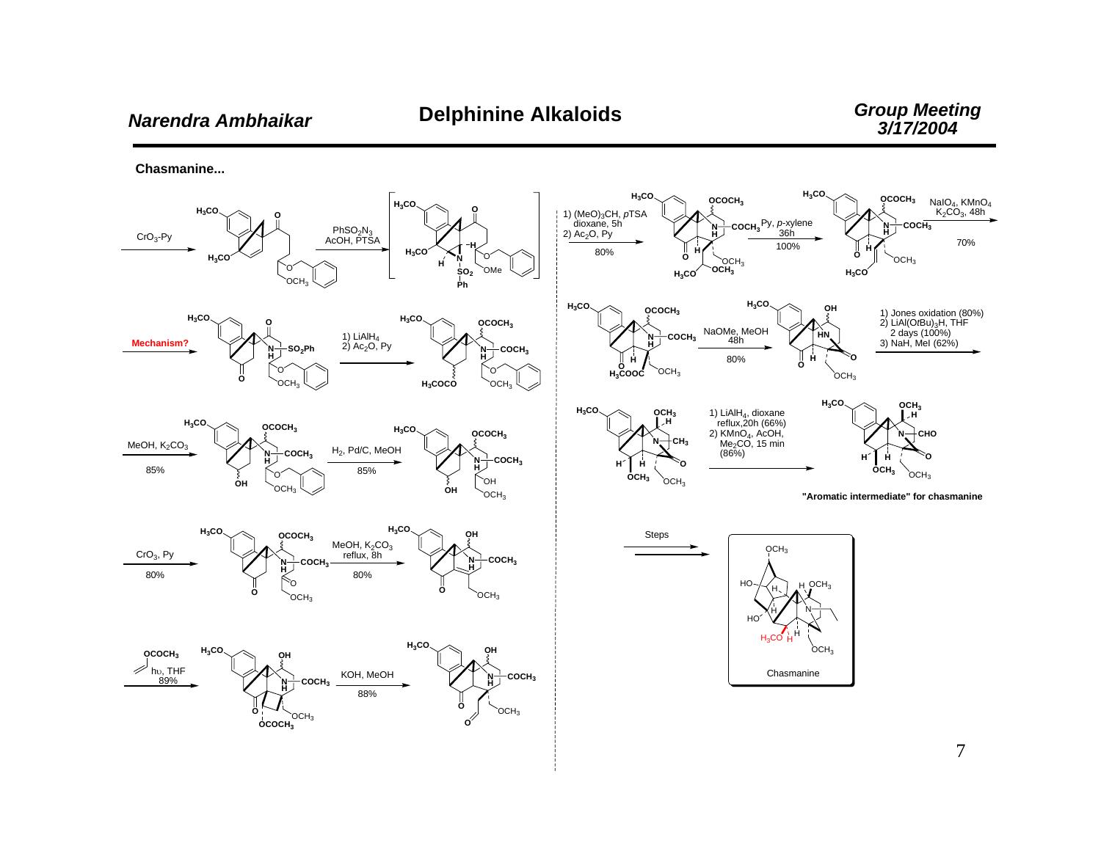**Chasmanine...**

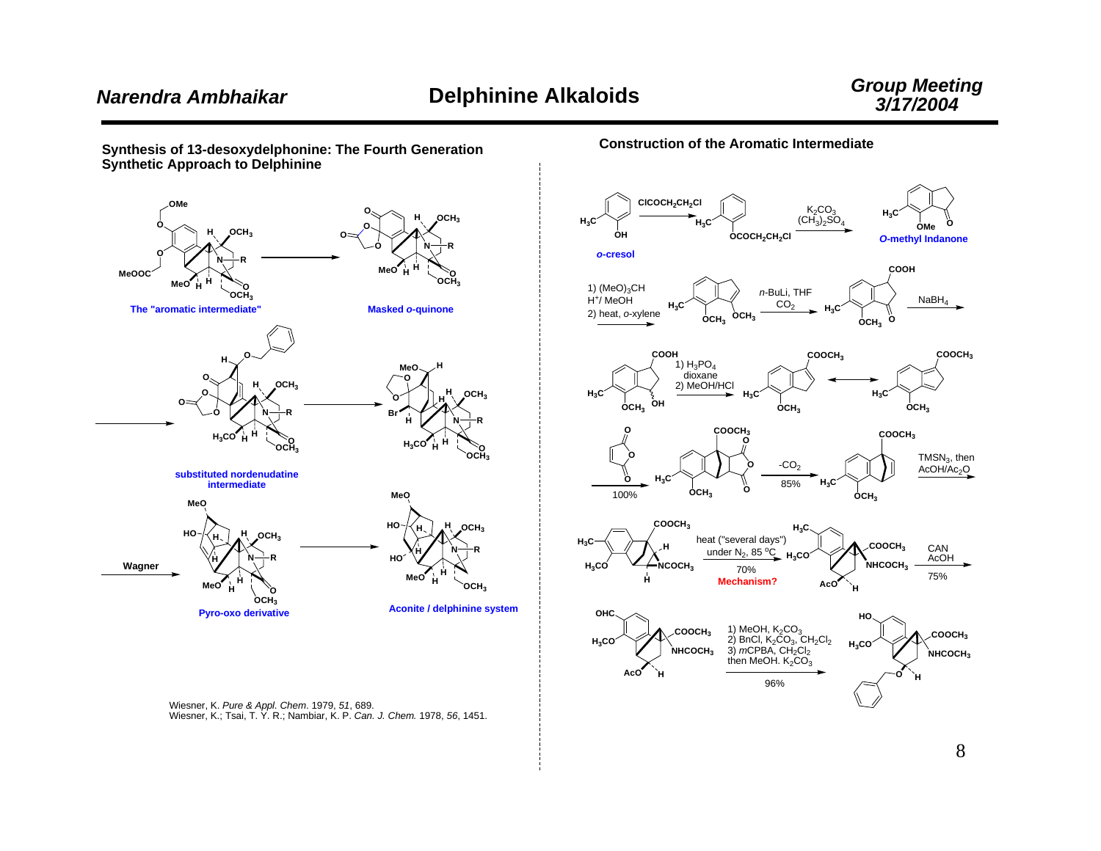**O**

*O***-methyl Indanone**

 $_{\rm H_3C}$ 



**Construction of the Aromatic Intermediate**

**ClCOCH2CH2Cl**

**OCOCH2CH2Cl**

**H3C OMe** (CH3)2SO4

 $K<sub>2</sub>CO<sub>3</sub>$ 



Wiesner, K. *Pure & Appl. Chem*. 1979, *51*, 689. Wiesner, K.; Tsai, T. Y. R.; Nambiar, K. P. *Can. J. Chem.* 1978, *56*, 1451.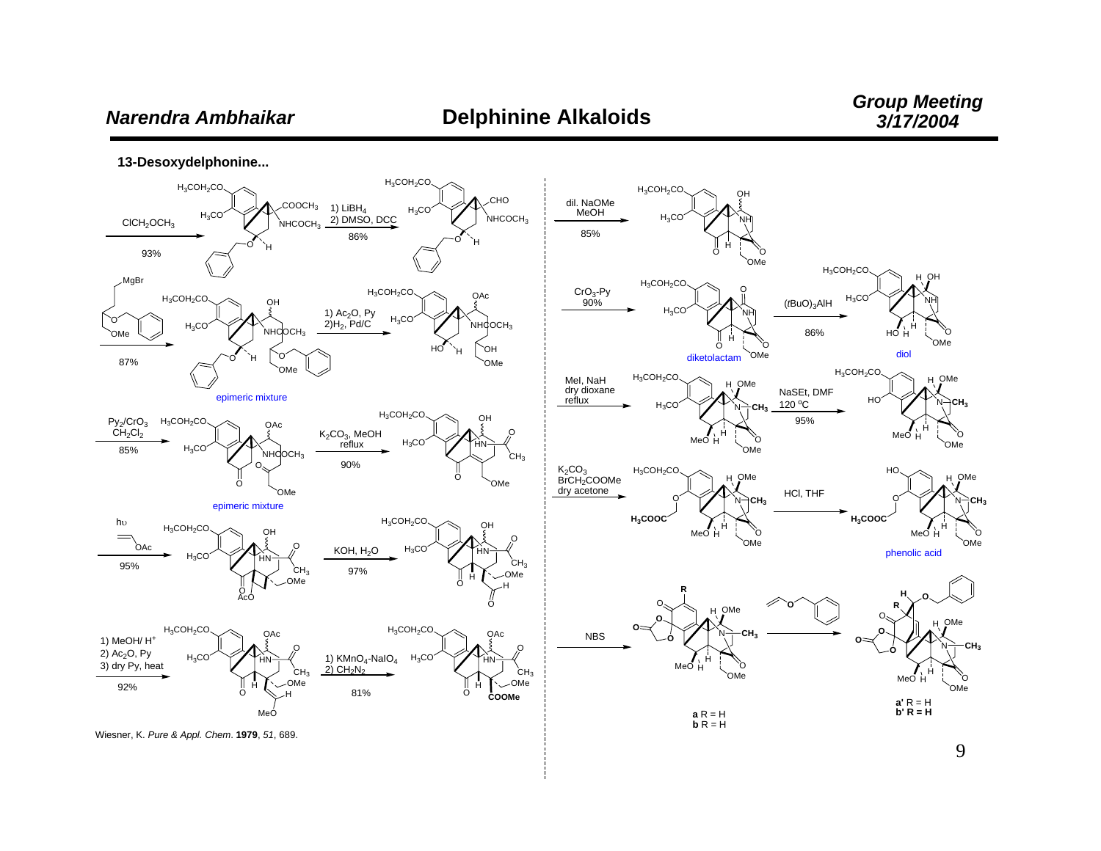## Narendra Ambhaikar

13-Desoxydelphonine...



9